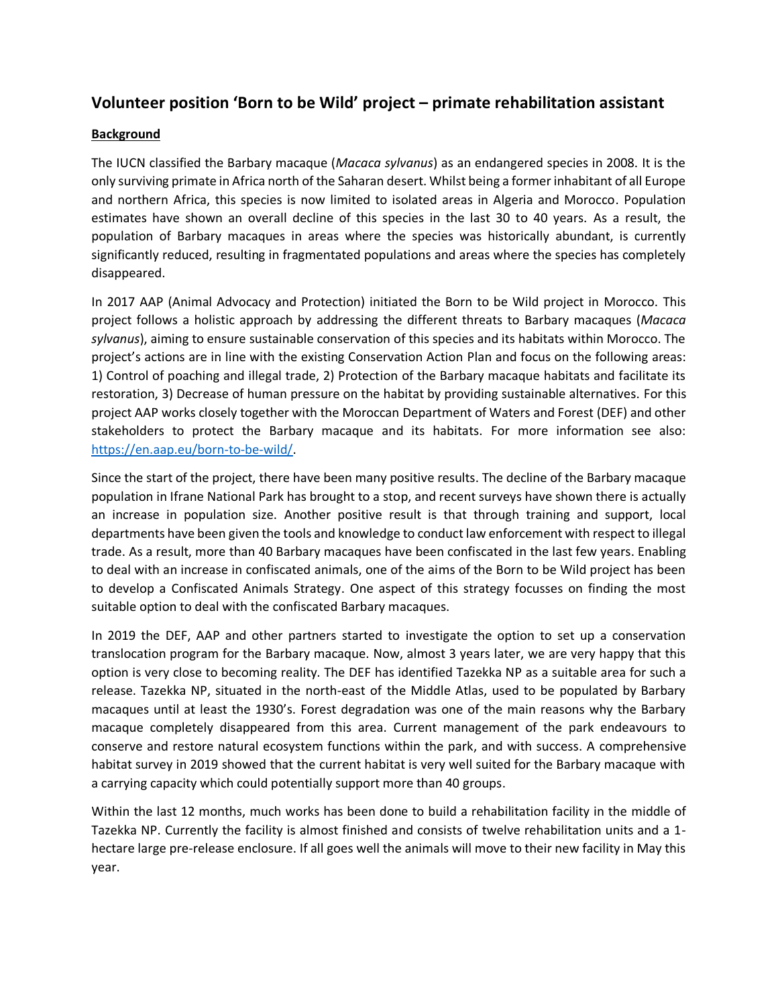# **Volunteer position 'Born to be Wild' project – primate rehabilitation assistant**

## **Background**

The IUCN classified the Barbary macaque (*Macaca sylvanus*) as an endangered species in 2008. It is the only surviving primate in Africa north of the Saharan desert. Whilst being a former inhabitant of all Europe and northern Africa, this species is now limited to isolated areas in Algeria and Morocco. Population estimates have shown an overall decline of this species in the last 30 to 40 years. As a result, the population of Barbary macaques in areas where the species was historically abundant, is currently significantly reduced, resulting in fragmentated populations and areas where the species has completely disappeared.

In 2017 AAP (Animal Advocacy and Protection) initiated the Born to be Wild project in Morocco. This project follows a holistic approach by addressing the different threats to Barbary macaques (*Macaca sylvanus*), aiming to ensure sustainable conservation of this species and its habitats within Morocco. The project's actions are in line with the existing Conservation Action Plan and focus on the following areas: 1) Control of poaching and illegal trade, 2) Protection of the Barbary macaque habitats and facilitate its restoration, 3) Decrease of human pressure on the habitat by providing sustainable alternatives. For this project AAP works closely together with the Moroccan Department of Waters and Forest (DEF) and other stakeholders to protect the Barbary macaque and its habitats. For more information see also: [https://en.aap.eu/born-to-be-wild/.](https://en.aap.eu/born-to-be-wild/)

Since the start of the project, there have been many positive results. The decline of the Barbary macaque population in Ifrane National Park has brought to a stop, and recent surveys have shown there is actually an increase in population size. Another positive result is that through training and support, local departments have been given the tools and knowledge to conduct law enforcement with respect to illegal trade. As a result, more than 40 Barbary macaques have been confiscated in the last few years. Enabling to deal with an increase in confiscated animals, one of the aims of the Born to be Wild project has been to develop a Confiscated Animals Strategy. One aspect of this strategy focusses on finding the most suitable option to deal with the confiscated Barbary macaques.

In 2019 the DEF, AAP and other partners started to investigate the option to set up a conservation translocation program for the Barbary macaque. Now, almost 3 years later, we are very happy that this option is very close to becoming reality. The DEF has identified Tazekka NP as a suitable area for such a release. Tazekka NP, situated in the north-east of the Middle Atlas, used to be populated by Barbary macaques until at least the 1930's. Forest degradation was one of the main reasons why the Barbary macaque completely disappeared from this area. Current management of the park endeavours to conserve and restore natural ecosystem functions within the park, and with success. A comprehensive habitat survey in 2019 showed that the current habitat is very well suited for the Barbary macaque with a carrying capacity which could potentially support more than 40 groups.

Within the last 12 months, much works has been done to build a rehabilitation facility in the middle of Tazekka NP. Currently the facility is almost finished and consists of twelve rehabilitation units and a 1 hectare large pre-release enclosure. If all goes well the animals will move to their new facility in May this year.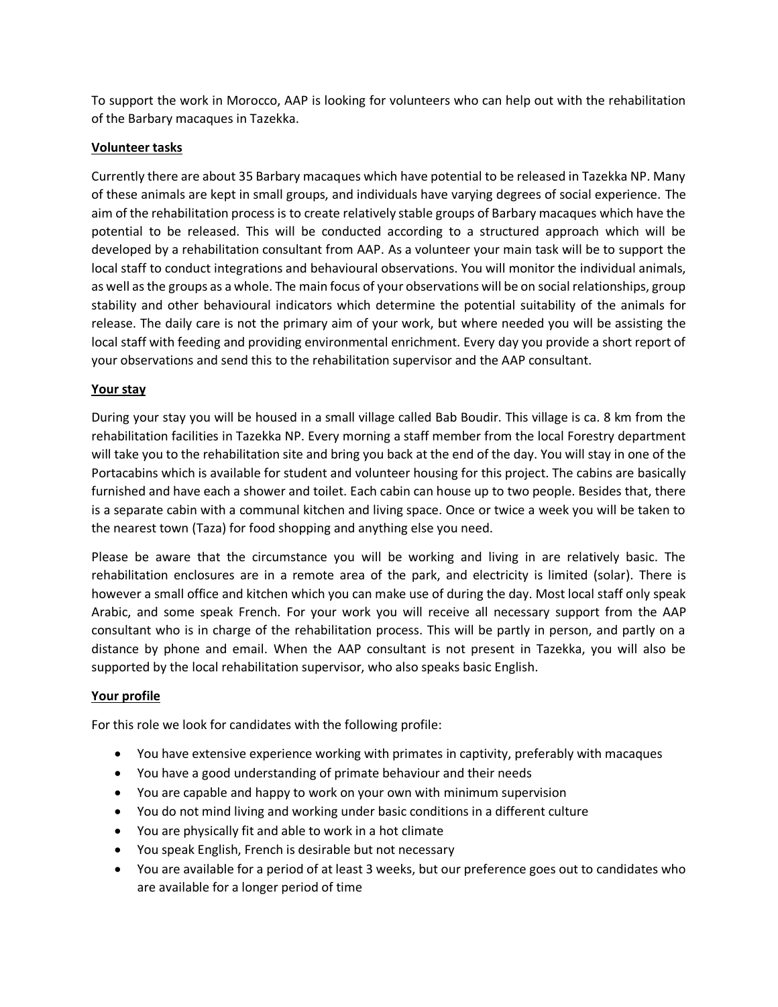To support the work in Morocco, AAP is looking for volunteers who can help out with the rehabilitation of the Barbary macaques in Tazekka.

### **Volunteer tasks**

Currently there are about 35 Barbary macaques which have potential to be released in Tazekka NP. Many of these animals are kept in small groups, and individuals have varying degrees of social experience. The aim of the rehabilitation process is to create relatively stable groups of Barbary macaques which have the potential to be released. This will be conducted according to a structured approach which will be developed by a rehabilitation consultant from AAP. As a volunteer your main task will be to support the local staff to conduct integrations and behavioural observations. You will monitor the individual animals, as well as the groups as a whole. The main focus of your observations will be on social relationships, group stability and other behavioural indicators which determine the potential suitability of the animals for release. The daily care is not the primary aim of your work, but where needed you will be assisting the local staff with feeding and providing environmental enrichment. Every day you provide a short report of your observations and send this to the rehabilitation supervisor and the AAP consultant.

#### **Your stay**

During your stay you will be housed in a small village called Bab Boudir. This village is ca. 8 km from the rehabilitation facilities in Tazekka NP. Every morning a staff member from the local Forestry department will take you to the rehabilitation site and bring you back at the end of the day. You will stay in one of the Portacabins which is available for student and volunteer housing for this project. The cabins are basically furnished and have each a shower and toilet. Each cabin can house up to two people. Besides that, there is a separate cabin with a communal kitchen and living space. Once or twice a week you will be taken to the nearest town (Taza) for food shopping and anything else you need.

Please be aware that the circumstance you will be working and living in are relatively basic. The rehabilitation enclosures are in a remote area of the park, and electricity is limited (solar). There is however a small office and kitchen which you can make use of during the day. Most local staff only speak Arabic, and some speak French. For your work you will receive all necessary support from the AAP consultant who is in charge of the rehabilitation process. This will be partly in person, and partly on a distance by phone and email. When the AAP consultant is not present in Tazekka, you will also be supported by the local rehabilitation supervisor, who also speaks basic English.

#### **Your profile**

For this role we look for candidates with the following profile:

- You have extensive experience working with primates in captivity, preferably with macaques
- You have a good understanding of primate behaviour and their needs
- You are capable and happy to work on your own with minimum supervision
- You do not mind living and working under basic conditions in a different culture
- You are physically fit and able to work in a hot climate
- You speak English, French is desirable but not necessary
- You are available for a period of at least 3 weeks, but our preference goes out to candidates who are available for a longer period of time